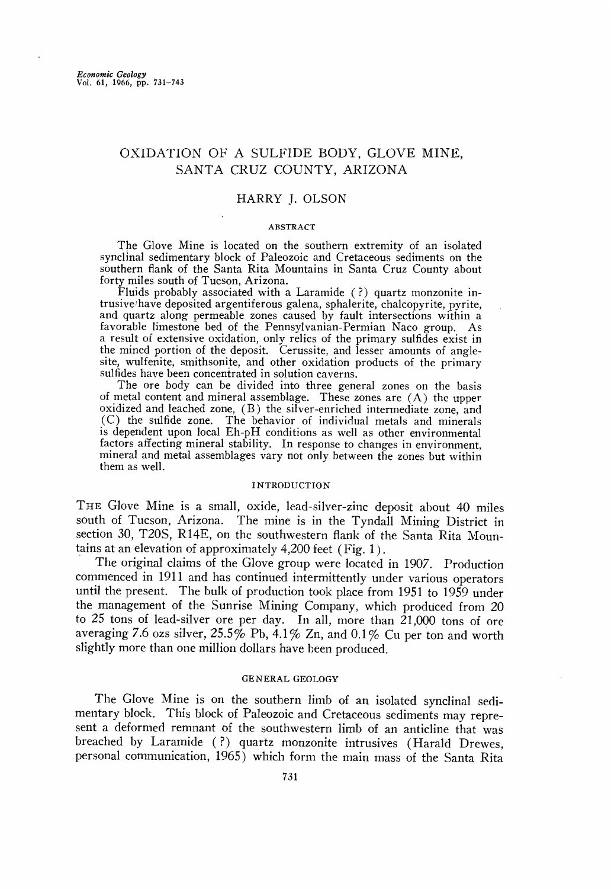# **OXIDATION OF A SULFIDE BODY, GLOVE MINE, SANTA CRUZ COUNTY, ARIZONA**

## **HARRY J. OLSON**

#### **ABSTRACT**

**The Glove Mine is located on the southern extremity of an isolated**  synclinal sedimentary block of Paleozoic and Cretaceous sediments on the **southern flank of the Santa Rita Mountains in Santa Cruz County about forty miles south of Tucson, Arizona.** 

**Fluids probably associated with a Laramide (?) quartz monzonite intrusive•have deposited argentiferous galena, sphalerite, chalcopyrite, pyrite, and quartz along permeable zones caused by fault intersections within a favorable limestone bed of the Pennsylvanian-Permian Naco group. As a result of extensive oxidation, only relics of the primary sulfides exist in the mined portion of the deposit. Cerussite, and lesser amounts of angle**site, wulfenite, smithsonite, and other oxidation products of the primary sulfides have been concentrated in solution caverns.

**The ore body can be divided into three general zones on the basis of metal content and mineral assemblage. These zones are (A) the upper oxidized and leached zone, (B) the silver-enriched intermediate zone, and .(C) the sulfide zone. The behavior of individual metals and minerals is dependent upon local Eh-pH conditions as well as other environmental factors affecting mineral stability. In response to changes in environment, mineral and metal assemblages vary not only between the zones but within them as well.** 

### **INTRODUCTION**

**THE Glove Mine is a small, oxide, lead-silver-zinc deposit about 40 miles south of Tucson, Arizona. The mine is in the Tyndall Mining District in section 30, T20S, R14E, on the southwestern flank of the Santa Rita Mountains at an elevation of approximately 4,200 feet (Fig. 1 ).** 

**The original claims of the Glove group were located in 1907. Production commenced in 1911 and has continued intermittently under various operators until the present. The bulk of production took place from 1951 to 1959 under the management of the Sunrise Mining Company, which produced from 20**  to 25 tons of lead-silver ore per day. In all, more than 21,000 tons of ore **averaging 7.6 ozs silver, 25.5% Pb, 4.1% Zn, and 0.1% Cu per ton and worth**  slightly more than one million dollars have been produced.

# **GENERAL GEOLOGY**

**The Glove Mine is on the southern limb of an isolated synclinal sedimentary block. This block of Paleozoic and Cretaceous sediments may represent a deformed remnant of the southwestern limb of an anticline that was breached by Laramide (?) quartz monzonite intrusives (Harald Drewes, personal communication, 1965) which form the main mass of the Santa Rita**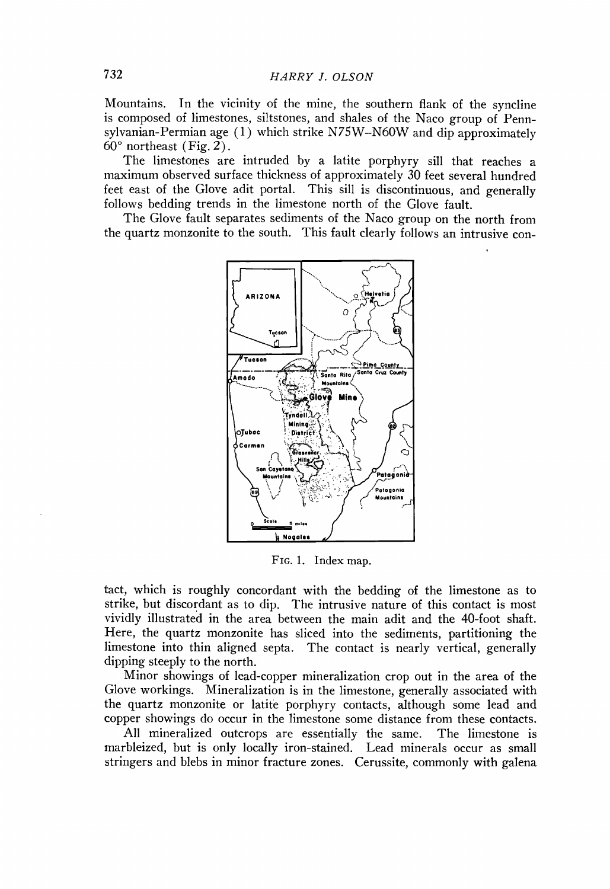**Mountains. In the vicinity of the mine, the southern flank of the syncline is composed of limestones, siltstones, and shales of the Naco group of Pennsylvanian-Permian age (1) which strike N75W-N60W and dip approximately**   $60^\circ$  northeast (Fig. 2).

**The limestones are intruded by a latite porphyry sill that reaches a maximum observed surface thickness of approximately 30 feet several hundred feet east of the Glove adit portal. This sill is discontinuous, and generally follows bedding trends in the limestone north of the Glove fault.** 

The Glove fault separates sediments of the Naco group on the north from **the quartz monzonite to the south. This fault clearly follows an intrusive con-**



**FIG. 1. Index map.** 

**tact, which is roughly concordant with the bedding of the limestone as to strike, but discordant as to dip. The intrusive nature of this contact is most vividly illustrated in the area between the main adit and the 40-foot shaft. Here, the quartz monzonite has sliced into the sediments, partitioning the limestone into thin aligned septa. The contact is nearly vertical, generally dipping steeply to the north.** 

Minor showings of lead-copper mineralization crop out in the area of the **Glove workings. Mineralization is in the limestone, generally associated with the quartz monzonite or latite porphyry contacts, although some lead and copper showings do occur in the limestone some distance from these contacts.** 

All mineralized outcrops are essentially the same. **marbleized, but is only locally iron-stained. Lead minerals occur as small stringers and blebs in minor fracture zones. Cerussite, commonly with galena**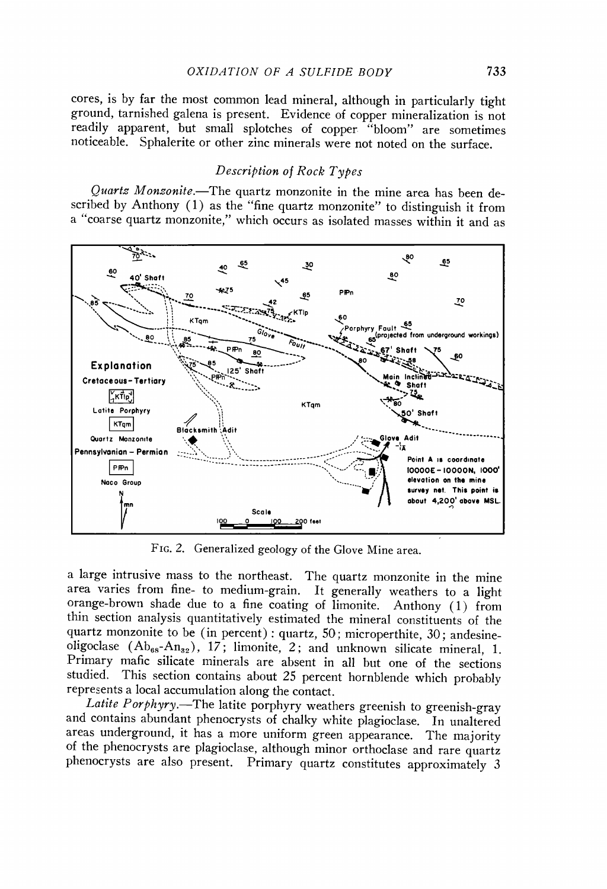cores, is by far the most common lead mineral, although in particularly tight ground, tarnished galena is present. Evidence of copper mineralization is not readily apparent, but small splotches of copper "bloom" are sometimes noticeable. Sphalerite or other zinc minerals were not noted on the surface.

# Description of Rock Types

Quartz Monzonite.—The quartz monzonite in the mine area has been described by Anthony (1) as the "fine quartz monzonite" to distinguish it from a "coarse quartz monzonite," which occurs as isolated masses within it and as



FIG. 2. Generalized geology of the Glove Mine area.

a large intrusive mass to the northeast. The quartz monzonite in the mine area varies from fine- to medium-grain. It generally weathers to a light orange-brown shade due to a fine coating of limonite. Anthony (1) from thin section analysis quantitatively estimated the mineral constituents of the quartz monzonite to be (in percent): quartz, 50; microperthite, 30; andesineoligoclase  $(Ab_{ss}-An_{32})$ , 17; limonite, 2; and unknown silicate mineral, 1. Primary mafic silicate minerals are absent in all but one of the sections studied. This section contains about 25 percent hornblende which probably represents a local accumulation along the contact.

Latite Porphyry.—The latite porphyry weathers greenish to greenish-gray and contains abundant phenocrysts of chalky white plagioclase. In unaltered areas underground, it has a more uniform green appearance. The majority of the phenocrysts are plagioclase, although minor orthoclase and rare quartz phenocrysts are also present. Primary quartz constitutes approximately 3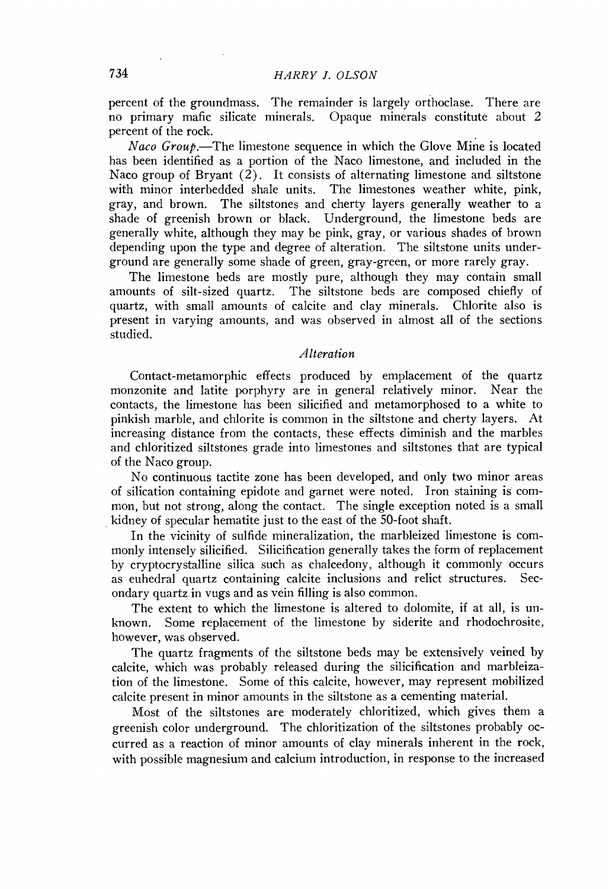**percent of the groundmass. The remainder islargely or{hoclase. There are no primary mafic silicate minerals. Opaque minerals constitute about 2 percent of the rock.** 

Naco Group.—The limestone sequence in which the Glove Mine is located **has been identified as a portion of the Naco limestone, and included in the Naco group of Bryant (2). It consists of alternating limestone and siltstone**  with minor interbedded shale units. **gray, and brown. The siltstones and cherty layers generally weather to a shade of greenish brown or black. Underground, the limestone beds are generally white, although they may be pink, gray, or various shades of brown depending upon the type and degree of alteration. The siltstone units underground are generally some shade of green, gray-green, or more rarely gray.** 

**The limestone beds are mostly pure, although they may contain small amounts of silt-sized quartz. The siltstone beds are composed chiefly of quartz, with small amounts of calcite and clay minerals. Chlorite also is present in varying amounts, and was observed in almost all of the sections studied.** 

## **Alteration**

**Contact-metamorphic effects produced by emplacement of the quartz monzonite and latite porphyry are in general relatively minor. Near the contacts, the limestone has been silicified and metamorphosed to a white to pinkish marble, and chlorite is common in the siltstone and cherty layers. At increasing distance from the contacts, these effects diminish and the marbles and chloritized siltstones grade into limestones and siltstones that are typical of the Naco group.** 

**No continuous tactite zone has been developed, and only two minor areas of sillcation containing epidote and garnet were noted. Iron staining is' common, but not strong, along the contact. The single exception noted is a small ß kidney of specular hematite just to the east of the 50-foot shaft.** 

**In the vicinity of sulfide mineralization, the marbleized limestone is commonly intensely silicified. Silicification generally takes the form of replacement by cryptocrystalline silica such as chalcedony, although it commonly occurs**  as euhedral quartz containing calcite inclusions and relict structures. **ondary quartz in vugs and as vein filling is also common.** 

**The extent to which the limestone is altered to dolomite, if at all, is unknown. Some replacement of the limestone by siderite and rhodochrosite, however, was observed.** 

**The quartz fragments of the siltstone beds may be extensively veined by calcite, which was probably released during the silicification and marbleization of the limestone. Some of this calcite, however, may represent mobilized calcite present in minor amounts in the siltstone as a cementing material.** 

**Most of the siltstones are moderately chloritized, which gives them a greenish color underground. The chloritization of the siltstones probably occurred as a reaction of minor amounts of clay minerals inherent in the rock, with possible magnesium and calcium introduction, in response to the increased**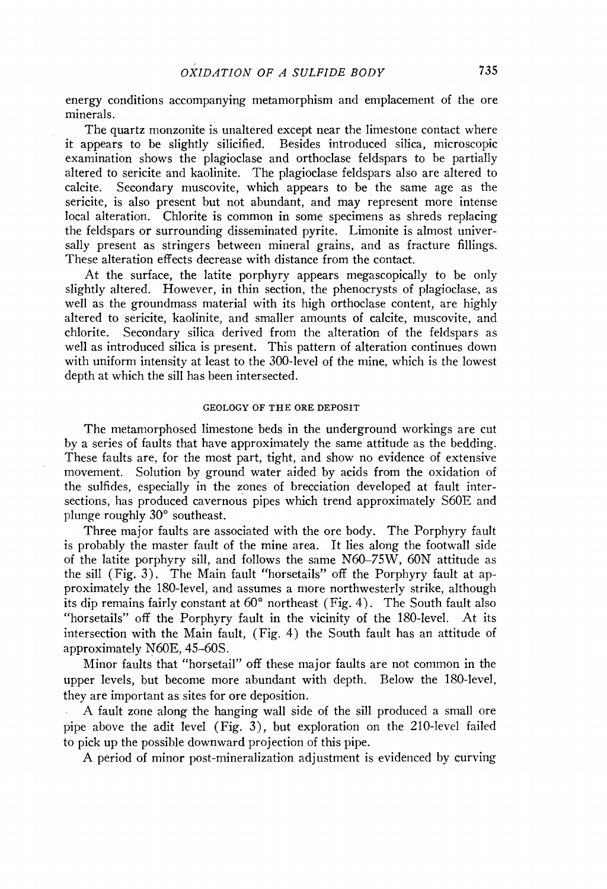**energy conditions accompanying metamorphism and emplacement of the ore minerals.** 

**The quartz monzonite is unaltered except near the limestone contact where idem** Besides introduced silica, microscopic **examination shows the plagioclase and orthoclase feldspars to be partially altered to sericite and kaolinite. The plagioclase feldspars also are altered to**  Secondary muscovite, which appears to be the same age as the **sericite, is also present but not abundant, and may represent more intense local alteration. Chlorite is common in some specimens as shreds replacing the feldspars or surrounding disseminated pyrite. Limonite is almost universally present as stringers between mineral grains, and as fracture fillings. These alteration effects decrease with distance from the contact.** 

**At the surface, the latite porphyry appears megascopically to be only slightly altered. However, in thin section, the phenocrysts of plagioclase, as well as the groundmass material with its high orthoclase content, are highly altered to sericite, kaolinite, and smaller amounts of calcite, muscovite, and**  Secondary silica derived from the alteration of the feldspars as **well as introduced silica is present. This pattern of alteration continues down with uniform intensity at least to the 300-level of the mine, which is the lowest depth at which the sill has been intersected.** 

# **GEOLOGY OF THE ORE DEPOSIT**

**The metamorphosed limestone beds in the underground workings are cut by a series of faults that have approximately the same attitude as the bedding. These faults are, for the most part, tight, and show no evidence of extensive movement. Solution by ground water aided by acids from the oxidation of the sulfides, especially in the zones of brecciation developed at fault intersections, has produced cavernous pipes which trend approximately S60E and**  plunge roughly 30° southeast.

**Three major faults are associated with the ore body. The Porphyry fault is probably the master fault of the mine area. It lies along the footwall side of the latite porphyry sill, and follows the same N'60-75W, 60N' attitude as the sill (Fig. 3). The Main fault "horsetails" off the Porphyry fault at approximately the 180~level, and assumes a more northwesterly strike, although**  its dip remains fairly constant at 60<sup>°</sup> northeast (Fig. 4). The South fault also **"horsetails" off the Porphyry fault in the vicinity of the 180-level. At its intersection with the Main fault, (Fig. 4) the South fault has an attitude of**  approximately N60E, 45-60S.

**Minor faults that "horsetail" off these major faults are not common in the upper levels, but become more abundant with depth. Below the 180-level, they are important as sites for ore deposition.** 

**A fault zone along the hanging wall side of the sill produced a small ore pipe above the adit level (Fig. 3), but exploration on the 210-level failed to pick up the possible downward projection of this pipe.** 

**A period of minor post-mineralization adjustment is evidenced by curving**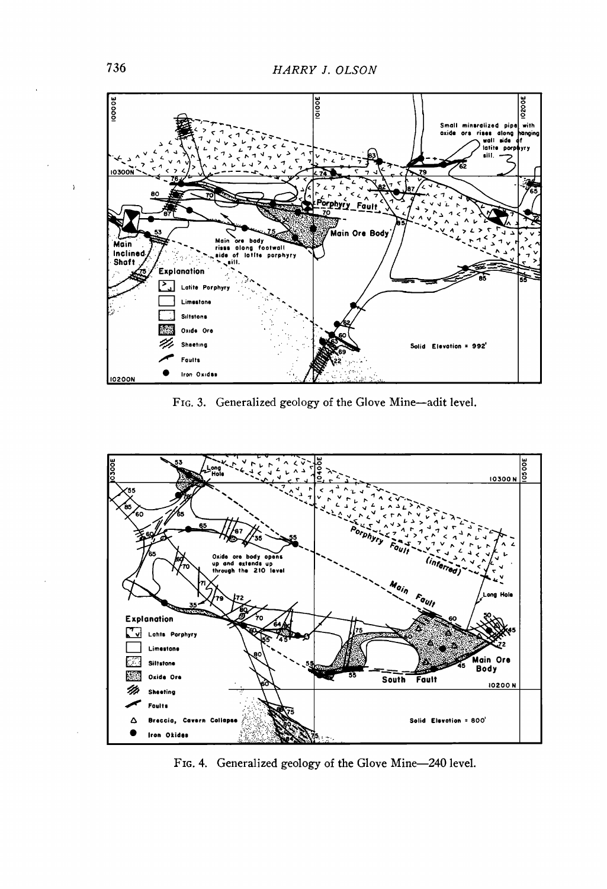

FIG. 3. Generalized geology of the Glove Mine-adit level.



FIG. 4. Generalized geology of the Glove Mine-240 level.

 $\bar{ }$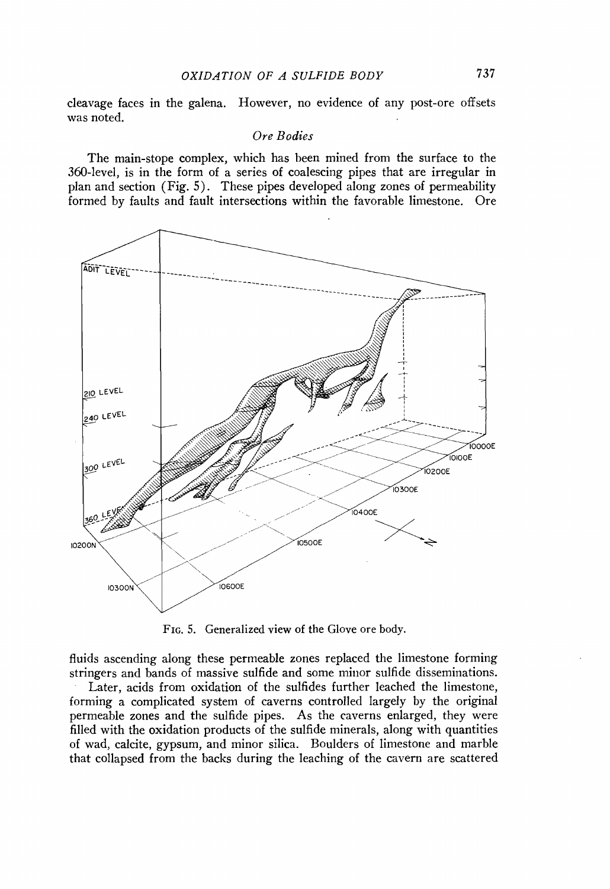**cleavage faces in the galena. ttowever, no evidence of any post-ore offsets was noted.** 

## **Ore Bodies**

**The main-stope complex, which has been mined from the surface to the 360-level, is in the form of a series of coalescing pipes that are irregular in plan and section (Fig. 5). These pipes developed along zones of permeability formed by faults and fault intersections within the favorable limestone. Ore** 



**FIG. 5. Generalized view of the Glove ore body.** 

**fluids ascending along these permeable zones replaced the limestone forming stringers and bands of massive sulfide and some minor sulfide disseminations.** 

**Later, acids from oxidation of the sulfides further leached the limestone, forming a complicated system of caverns controlled largely by the original permeable zones and the sulfide pipes. As the caverns enlarged, they were filled with the oxidation products of the sulfide minerals, along with quantities of wad, calcite, gypsum, and minor silica. Boulders of limestone and marble that collapsed from the backs during the leaching of the cavern are scattered**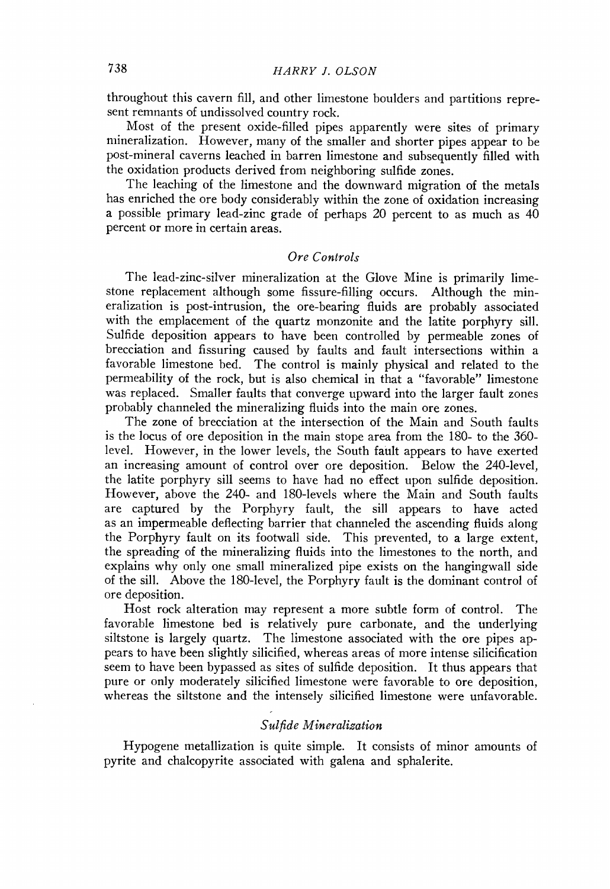**throughout this cavern fill, and other limestone boulders and partitions represent remnants of undissolved country rock.** 

**Most of the present oxide-filled pipes apparently were sites of primary**  mineralization. However, many of the smaller and shorter pipes appear to be **post-mineral caverns leached in barren limestone and subsequently filled with the oxidation products derived from neighboring sulfide zones.** 

**The leaching of the limestone and the downward migration of the metals has enriched the ore body considerably within the zone of oxidation increasing a possible primary lead-zinc grade of perhaps 20 percent to as much as 40 percent or more in certain areas.** 

# **Ore Controls**

**The lead-zinc-silver mineralization at the Glove Mine is primarily limestone replacement although some fissure-filling occurs. Although the mineralization is post-intrusion, the ore-bearing fluids are probably associated**  with the emplacement of the quartz monzonite and the latite porphyry sill. **Sulfide deposition appears to have been controlled by permeable zones of brecciation and fissuring caused by faults and fault intersections within a favorable limestone bed. The control is mainly physical and related to the permeability of the rock, but is also chemical in that a "favorable" limestone was replaced. Smaller faults that converge upward into the larger fault zones probably channeled the mineralizing fluids into the main ore zones.** 

**The zone of brecciation at the intersection of the Main and South faults is the locus of ore deposition in the main stope area from the 180- to the 360 level. However, in the lower levels, the South fault appears to have exerted an increasing amount of control over ore deposition. Below the 240-level, the latite porphyry sill seems to have had no effect upon sulfide deposition. However, above the 240- and 180-1eveIs where the Main and South faults are captured by the Porphyry fault, the sill appears to have acted as an impermeable deflecting barrier that channeled the ascending fluids along the Porphyry fault on its footwall side. This prevented, to a large extent, the spreading of the mineralizing fluids into the limestones to the north, and explains why only one small mineralized pipe exists on the hangingwall side of the sill. Above the 180-level, the Porphyry fault is the dominant control of ore deposition.** 

**Host rock alteration may represent a more subtle form of control. The favorable limestone bed is relatively pure carbonate, and the underlying siltstone is largely quartz. The limestone associated with the ore pipes appears to have been slightly silicified, whereas areas of more intense silicification seem to have been bypassed as sites of sulfide deposition. It thus appears that pure or only moderately silicified limestone were favorable to ore deposition, whereas the siltstone and the intensely silicified limestone were unfavorable.** 

# **Sulfide Mineralization**

**Hypogene metallization is quite simple. It consists of minor amounts of pyrite and chalcopyrite associated with galena and sphalerite.**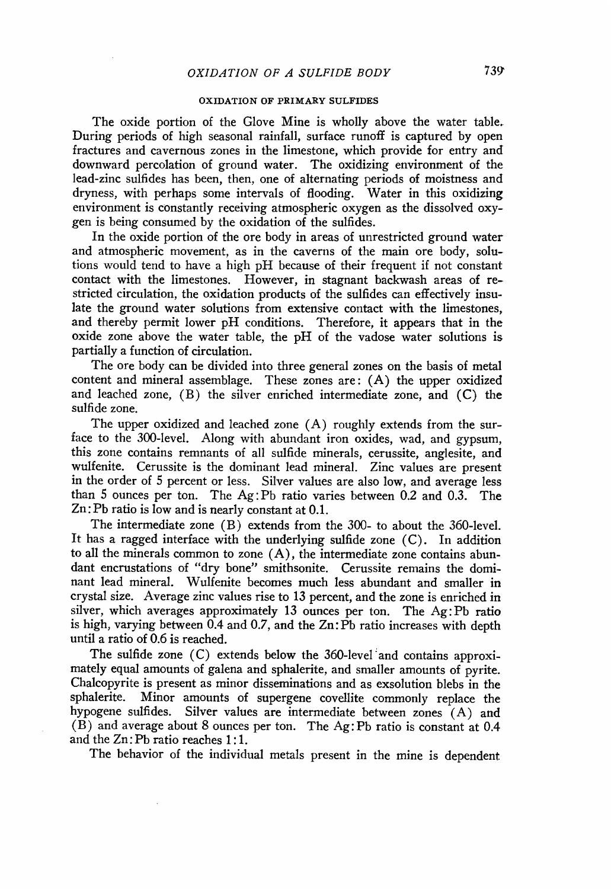#### **OXIDATION OF PRIMARY SULFIDES**

**The oxide portion of the Glove Mine is wholly above the water table• During periods of high seasonal rainfall, surface runoff is captured by open fractures and cavernous zones in the limestone, which provide for entry and downward percolation of ground water. The oxidizing environment of the lead-zinc sulfides has been, then, one of alternating periods of moistness and dryness, with perhaps some intervals of flooding. Water in this oxidizing environment is constantly receiving atmospheric oxygen as the dissolved oxygen is being consumed by the oxidation of the sulfides.** 

**In the oxide portion of the ore body in areas of unrestricted ground water and atmospheric movement, as in the caverns of the main ore body, solutions would tend to have a high pI-I because of their frequent if not constant contact with the limestones. However, in stagnant backwash areas of restricted circulation, the oxidation products of the sulfides can effectively insulate the ground water solutions from extensive contact with the limestones, and thereby permit lower pH conditions. Therefore, it appears that in the oxide zone above the water table, the pH of the vadose water solutions is partially a function of circulation.** 

**The ore body can be divided into three general zones on the basis of metal content and mineral assemblage. These zones are: (A) the upper oxidized and leached zone, (B) the silver enriched intermediate zone, and (C) the sulfide zone.** 

**The upper oxidized and leached zone (A) roughly extends from the surface to the 300-level. Along with abundant iron oxides, wad, and gypsum, this zone contains remnants of all sulfide minerals, cerussite, anglesite, and wulfenite. Cerussite is the dominant lead mineral. Zinc values are present in the order of 5 percent or less. Silver values are also low, and average less than 5 ounces per ton. The Ag:Pb ratio varies between 0.2 and 0.3. The Zn: Pb ratio is low and is nearly constant at 0.1.** 

**The intermediate zone (B) extends from the 300- to about the 360-level. It has a ragged interface with the underlying sulfide zone (C). In addition to all the minerals common to zone (A), the intermediate zone contains abundant encrustations of "dry bone" smithsonite. Cerussite remains the dominant lead mineral. Wulfenite becomes much less abundant and smaller in crystal size. Average zinc values rise to 13 percent, and the zone is enriched in silver, which averages approximately 13 ounces per ton. The Ag: Pb ratio is high, varying between 0.4 and 0.7, and the Zn:Pb ratio increases with depth until a ratio of 0.6 is reached.** 

**The sulfide zone (C) extends below the 360-level:and contains approximately equal amounts of galena and sphalerite, and smaller amounts of pyrite. Chalcopyrite is present as minor disseminations and as exsolution blebs in the sphalerite. Minor amounts of supergene covellite commonly replace the hypogene sulfides. Silver values are intermediate between zones (A) and (B) and average about 8 ounces per ton. The Ag: Pb ratio is constant at 0.4 and the Zn: Pb ratio reaches 1:1.** 

**The behavior of the individual metals present in the mine is dependent**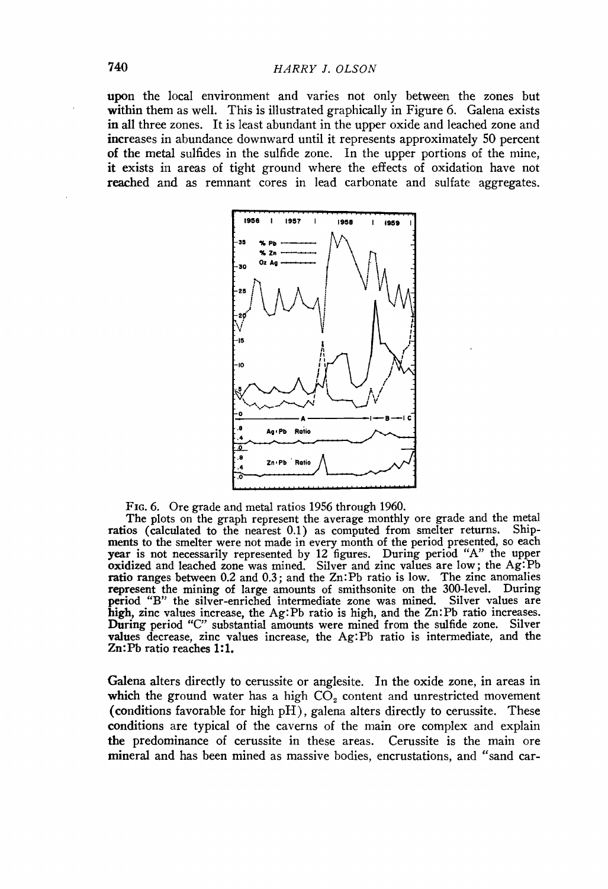**upon the local environment and varies not only between the zones but within them as well. This is illustrated graphically in Figure 6. Galena exists in all three zones. It is least abundant in the upper oxide and leached zone and increases in abundance downward until it represents approximately 50 percent of the metal sulfides in the sulfide zone. In the upper portions of the mine, it exists in areas of tight ground where the effects of oxidation have not reached and as remnant cores in lead carbonate and sulfate aggregates.** 



**Fro. 6. Ore grade and metal ratios 1956 through 1960.** 

**The plots on the graph represent the average monthly ore grade and the metal ratios (calculated to the nearest 0.1) as computed from smelter returns. Shipments to the smelter were not made in every month of the period presented, so each year is not necessarily represented by 12 figures. During period "A" the upper oxidized and leached zone was mined. Silver and zinc values are low; the Ag:Pb ratio ranges between 0.2 and 0.3; and the Zn:Pb ratio is low. The zinc anomalies represent** the mining of large amounts of smithsonite on the 300-level. During **period "B" the silver-enriched intermediate zone was mined. Silver values are high, zinc values increase, the Ag:Pb ratio is high, and the Zn:Pb ratio increases. During period "C" substantial amounts were mined from the sulfide zone. Silver values decrease, zinc values increase, the Ag:Pb ratio is intermediate, and the Zn:Pb ratio reaches 1:1.** 

**Galena alters directly to cerussite or anglesite. In the oxide zone, in areas in**  which the ground water has a high  $CO<sub>2</sub>$  content and unrestricted movement **(conditions favorable for high pH), galena alters directly to cerussite. These conditions are typical of the caverns of the main ore complex and explain the predominance of cerussite in these areas. Cerussite is the main ore mineral and has been mined as massive bodies, encrustations, and "sand car-**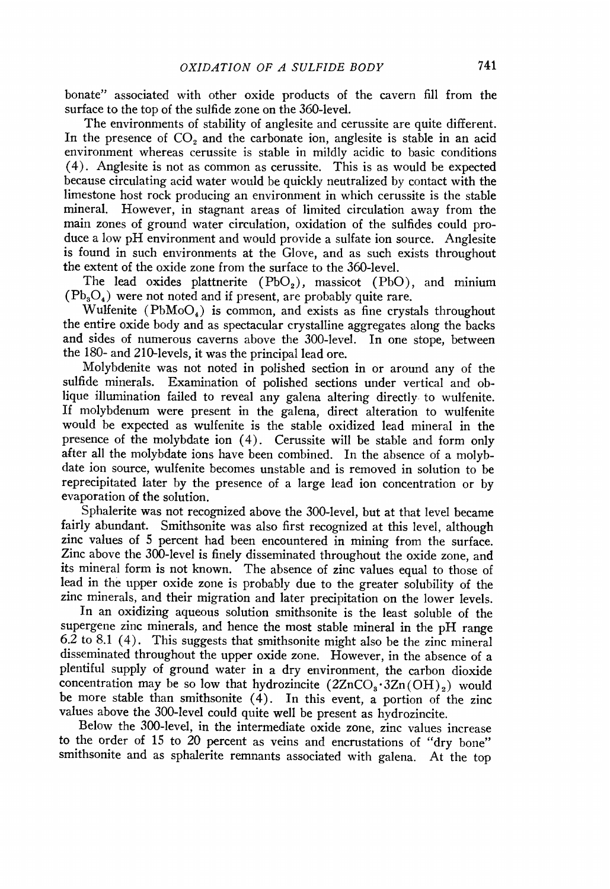**bonate" associated with other oxide products of the cavern fill from the surface to the top of the sulfide zone on the 360-level.** 

**The environments of stability of anglesite and cerussite are quite different.**  In the presence of CO<sub>2</sub> and the carbonate ion, anglesite is stable in an acid **environment whereas cerussite is stable in mildly acidic to basic conditions (4). Anglesite is not as common as cerussite. This is as would be expected because circulating acid water would be quickly neutralized by contact with the limestone host rock producing an environment in which cerussite is the stable mineral. However, in stagnant areas of limited circulation away from the main zones of ground water circulation, oxidation of the sulfides could produce a low pH environment and would provide a sulfate ion source. Anglesite is found in such environments at the Glove, and as such exists throughout the extent of the oxide zone from the surface to the 360-level.** 

The lead oxides plattnerite (PbO<sub>2</sub>), massicot (PbO), and minium **(Pb•O4) were not noted and if present, are probably quite rare.** 

**Wulfenite (PbMoO4) is common, and exists as fine crystals throughout the entire oxide body and as spectacular cystalline aggregates along the backs and sides of numerous caverns above the 300-level. In one stope, between the 180- and 210-1eveIs, it was the principal lead ore.** 

**Molybdenite was not noted in polished section in or around any of the sulfide minerals. Examination of polished sections under vertical and oblique illumination failed to reveal any galena altering directly. to wulfenite. If molybdenum were present in the galena, direct alteration to wulfenite would be expected as wulfenite is the stable oxidized lead mineral in the presence of the molybdate ion (4). Cerussite will be stable and form only**  after all the molybdate ions have been combined. In the absence of a molyb**date ion source, wulfenite becomes unstable and is removed in solution to be reprecipitated later by the presence of a large lead ion concentration orby evaporation of the solution.** 

**Sphalerite was not recognized above the 300-level, but at that level became fairly abundant. Smithsonite was also first recognized at this level, although zinc values of 5 percent had been encountered in mining from the surface. Zinc above the 300-level is finely disseminated throughout the oxide zone, and its mineral form is not known. The absence of zinc values equal to those of lead in the upper oxide zone is probably due to the greater solubility of the zinc minerals, and their migration and later precipitation on the lower levels.** 

**In an oxidizing aqueous solution smithsonite is the least soluble of the supergene zinc minerals, and hence the most stable mineral in the pH range 6.2 to 8.1 (4). This suggestshat smithsonite might also be the zinc mineral disseminated throughout the upper oxide zone. However, in the absence of a plentiful supply of ground water in a dry environment, the carbon dioxide**  concentration may be so low that hydrozincite  $(2ZnCO<sub>3</sub>·3Zn(OH)<sub>2</sub>)$  would **be more stable than smithsonite (4). In this event, a portion of the zinc values above the 300-level could quite well be present as hydrozincite.** 

**Below the 300-level, in the intermediate oxide zone, zinc values increase to the order of 15 to 20 percent as veins and encrustations of "dry bone" smithsonite and as sphalerite remnants associated with galena. At the top**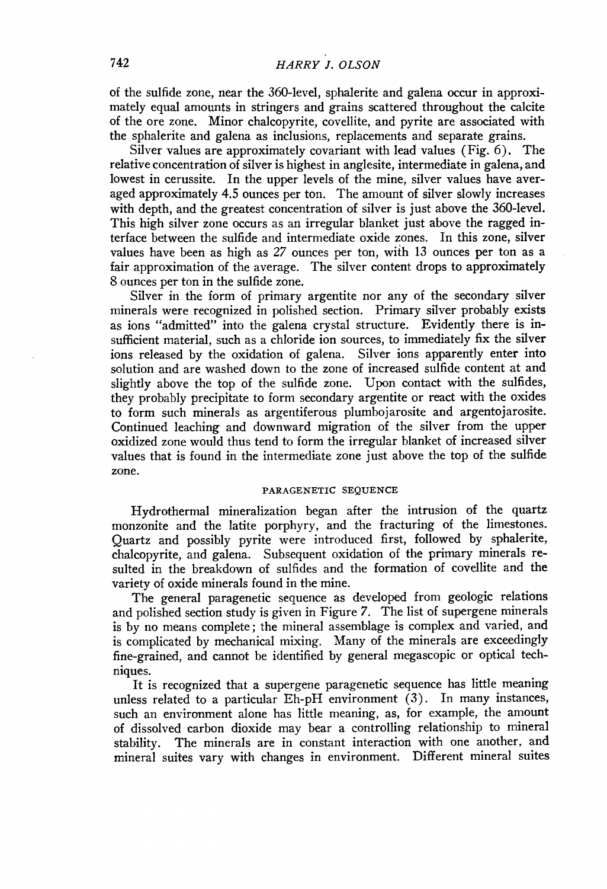**of the sulfide zone, near the 360-level, sphalerite and galena occur in approximately equal amounts in stringers and grains scattered throughout the calcite of the ore zone. Minor chalcopyrite, corellite, and pyrite are associated with the sphalerite and galena as inclusions, replacements and separate grains.** 

**Silver values are approximately covariant with lead values (Fig. 6). The**  relative concentration of silver is highest in anglesite, intermediate in galena, and **lowest in cerussite. In the upper levels of the mine, silver values have averaged approximately 4.5 ounces per ton. The amount of silver slowly increases**  with depth, and the greatest concentration of silver is just above the 360-level. **This high silver zone occurs as an irregular blanket just above the ragged interface between the sulfide and intermediate oxide zones. In this zone, silver values have been as high as 27 ounces per ton, wiih 13 ounces per ton as a fair approximation of the average. The silver content drops to approximately 8 ounces per ton in the sulfide zone.** 

**Silver in the form of primary argentite nor any of the secondary silver minerals were recognized in polished section. Primary silver probably exists as ions "admitted" into the galena crystal structure. Evidently there is insufficient material, such as a chloride ion sources, to immediately fix the silver ions released by the oxidation of galena. Silver ions apparently enter into solution and are washed down to the zone of increased sulfide content at and slightly above the top of the sulfide zone. Upon contact with the sulfides, they probably precipitate to form secondary argentite or react with the oxides to form such minerals as argentiferous plumbojarosite and argentojarosite. Continued leaching and downward migration of the silver from the upper oxidized zone would thus tend to form the irregular blanket of increased silver values that is found in the intermediate zone just above the top of the sulfide zone.** 

#### **PARAGENETIC SEQUENCE**

**Hydrothermal mineralization began after the intrusion of the quartz monzonite and the latite porphyry, and the fracturing of the limestones. Quartz and possibly pyrite were introduced first, followed by sphalerite, chalcopyrite, and galena. Subsequent oxidation of the primary minerals resulted in the breakdown of sulfides and the formation of corellite and the variety of oxide minerals found in the mine.** 

**The general paragenetic sequence as developed from geologic relations and polished section study is given in Figure 7. The list of supergene minerals is by no means complete; the mineral assemblage is complex and varied, and is complicated by mechanical mixing. Many of the minerals are exceedingly fine-grained, and cannot be identified by general megascopic or optical techniques.** 

**It is recognized that a supergene paragenetic sequence has little meaning unless related to a particular Eh-pH environment (3). In many instances, such an environment alone has little meaning, as, for example, the amount of dissolved carbon dioxide may bear a controlling relationship to mineral stability. The minerals are in constant interaction with one another, and mineral suites vary with changes in environment. Different mineral suites**